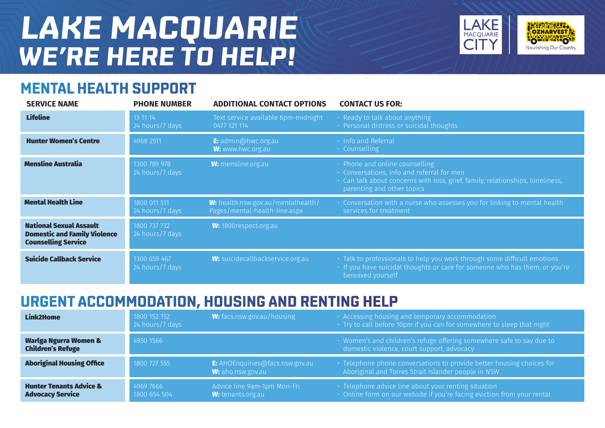# **LAKE MACQUARIE WE'RE HERE TO HELP!**





**OZHARVEST** 

Nourishing Our Country

MACQUARIE

#### **URGENT ACCOMMODATION, HOUSING AND RENTING HELP**

| Link2Home                                                     | 1800 152 152<br>24 hours/7 days | <b>W:</b> facs.nsw.gov.au/housing                           | · Accessing housing and temporary accommodation<br>$\cdot$ Try to call before 10pm if you can for somewhere to sleep that night $^{\dagger}$ |
|---------------------------------------------------------------|---------------------------------|-------------------------------------------------------------|----------------------------------------------------------------------------------------------------------------------------------------------|
| Warlga Ngurra Women &<br><b>Children's Refuge</b>             | 4950 1566                       |                                                             | · Women's and children's refuge offering somewhere safe to say due to<br>domestic violence, court support, advocacy                          |
| <b>Aboriginal Housing Office</b>                              | 1800 727 555                    | <b>E:</b> AHOEnquiries@facs.nsw.gov.au<br>W: aho.nsw.gov.au | · Telephone phone conversations to provide better housing choices for<br>Aboriginal and Torres Strait Islander people in NSW                 |
| <b>Hunter Tenants Advice &amp;</b><br><b>Advocacy Service</b> | 4969 7666<br>1800 654 504       | Advice line 9am-1pm Mon-Fri<br>W: tenants.org.au            | · Telephone advice line about your renting situation<br>$\cdot$ Online form on our website if you're facing eviction from your rental        |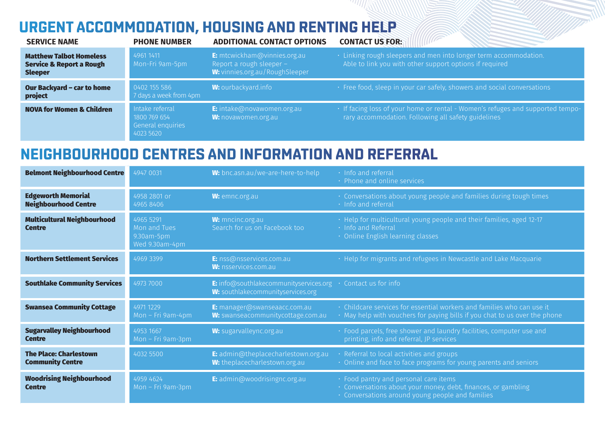## **URGENT ACCOMMODATION, HOUSING AND RENTING HELP**

| <b>SERVICE NAME</b>                                                                     | <b>PHONE NUMBER</b>                                               | <b>ADDITIONAL CONTACT OPTIONS</b>                                                            | <b>CONTACT US FOR:</b>                                                                                                                      |
|-----------------------------------------------------------------------------------------|-------------------------------------------------------------------|----------------------------------------------------------------------------------------------|---------------------------------------------------------------------------------------------------------------------------------------------|
| <b>Matthew Talbot Homeless</b><br><b>Service &amp; Report a Rough</b><br><b>Sleeper</b> | 4961 1411<br>Mon-Fri 9am-5pm                                      | E: mtcwickham@vinnies.org.au<br>Report a rough sleeper $-$<br>W: vinnies.org.au/RoughSleeper | · Linking rough sleepers and men into longer term accommodation.<br>Able to link you with other support options if required                 |
| <b>Our Backyard - car to home</b><br>project                                            | 0402 155 586<br>7 days a week from 4pm                            | <b>W:</b> ourbackyard.info                                                                   | · Free food, sleep in your car safely, showers and social conversations                                                                     |
| <b>NOVA for Women &amp; Children</b>                                                    | Intake referral<br>1800 769 654<br>General enquiries<br>4023 5620 | <b>E:</b> intake@novawomen.org.au<br>W: novawomen.org.au                                     | $\cdot$ If facing loss of your home or rental - Women's refuges and supported tempo-<br>rary accommodation. Following all safety guidelines |

#### **NEIGHBOURHOOD CENTRES AND INFORMATION AND REFERRAL**

| <b>Belmont Neighbourhood Centre</b>                      | 4947 0031                                                 | W: bnc.asn.au/we-are-here-to-help                                                  | · Info and referral<br>• Phone and online services                                                                                                         |
|----------------------------------------------------------|-----------------------------------------------------------|------------------------------------------------------------------------------------|------------------------------------------------------------------------------------------------------------------------------------------------------------|
| <b>Edgeworth Memorial</b><br><b>Neighbourhood Centre</b> | 4958 2801 or<br>49658406                                  | W: emnc.org.au                                                                     | · Conversations about young people and families during tough times<br>· Info and referral                                                                  |
| <b>Multicultural Neighbourhood</b><br><b>Centre</b>      | 4965 5291<br>Mon and Tues<br>9.30am-5pm<br>Wed 9.30am-4pm | <b>W:</b> mncinc.org.au<br>Search for us on Facebook too                           | · Help for multicultural young people and their families, aged 12-17<br>· Info and Referral<br>• Online English learning classes                           |
| <b>Northern Settlement Services</b>                      | 4969 3399                                                 | E: nss@nsservices.com.au<br><b>W:</b> nsservices.com.au                            | • Help for migrants and refugees in Newcastle and Lake Macquarie                                                                                           |
| <b>Southlake Community Services</b>                      | 4973 7000                                                 | <b>E:</b> info@southlakecommunityservices.org<br>W: southlakecommunityservices.org | Contact us for info                                                                                                                                        |
| <b>Swansea Community Cottage</b>                         | 4971 1229<br>$Mon$ – Fri 9am-4pm                          | E: manager@swanseaacc.com.au<br>W: swanseacommunitycottage.com.au                  | · Childcare services for essential workers and families who can use it<br>• May help with vouchers for paying bills if you chat to us over the phone       |
| <b>Sugarvalley Neighbourhood</b><br><b>Centre</b>        | 4953 1667<br>$Mon$ – Fri 9am-3pm                          | W: sugarvalleync.org.au                                                            | · Food parcels, free shower and laundry facilities, computer use and<br>printing, info and referral, JP services                                           |
| <b>The Place: Charlestown</b><br><b>Community Centre</b> | 4032 5500                                                 | E: admin@theplacecharlestown.org.au<br>W: theplacecharlestown.org.au               | · Referral to local activities and groups<br>• Online and face to face programs for young parents and seniors                                              |
| <b>Woodrising Neighbourhood</b><br><b>Centre</b>         | 4959 4624<br>$Mon$ – Fri 9am-3pm                          | <b>E:</b> admin@woodrisingnc.org.au                                                | · Food pantry and personal care items<br>· Conversations about your money, debt, finances, or gambling<br>• Conversations around young people and families |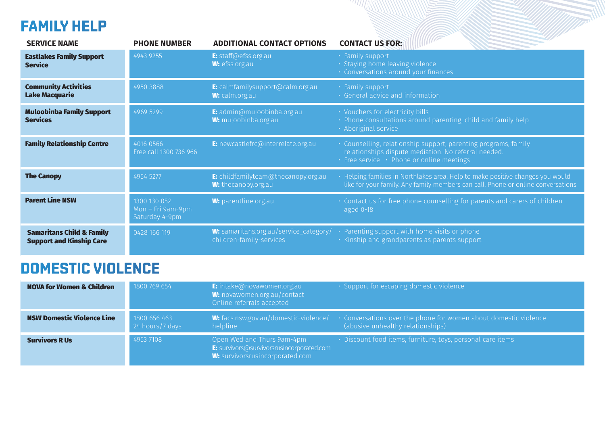#### **FAMILY HELP**

| <b>SERVICE NAME</b>                                                     | <b>PHONE NUMBER</b>                                 | <b>ADDITIONAL CONTACT OPTIONS</b>                                         | <b>CONTACT US FOR:</b>                                                                                                                                                           |
|-------------------------------------------------------------------------|-----------------------------------------------------|---------------------------------------------------------------------------|----------------------------------------------------------------------------------------------------------------------------------------------------------------------------------|
| <b>Eastlakes Family Support</b><br><b>Service</b>                       | 4943 9255                                           | E: staff@efss.org.au<br>W: efss.org.au                                    | · Family support<br>$\cdot$ Staying home leaving violence<br>· Conversations around your finances                                                                                |
| <b>Community Activities</b><br><b>Lake Macquarie</b>                    | 4950 3888                                           | E: calmfamilysupport@calm.org.au<br>W: calm.org.au                        | $\cdot$ Family support<br>· General advice and information                                                                                                                       |
| <b>Muloobinba Family Support</b><br><b>Services</b>                     | 4969 5299                                           | E: admin@muloobinba.org.au<br><b>W:</b> muloobinba.org.au                 | · Vouchers for electricity bills<br>• Phone consultations around parenting, child and family help<br>· Aboriginal service                                                        |
| <b>Family Relationship Centre</b>                                       | 4016 0566<br>Free call 1300 736 966                 | E: newcastlefrc@interrelate.org.au                                        | • Counselling, relationship support, parenting programs, family<br>relationships dispute mediation. No referral needed.<br>$\cdot$ Free service $\cdot$ Phone or online meetings |
| <b>The Canopy</b>                                                       | 4954 5277                                           | E: childfamilyteam@thecanopy.org.au<br>W: thecanopy.org.au                | $\cdot$ Helping families in Northlakes area. Help to make positive changes you would<br>like for your family. Any family members can call. Phone or online conversations         |
| <b>Parent Line NSW</b>                                                  | 1300 130 052<br>Mon - Fri 9am-9pm<br>Saturday 4-9pm | <b>W:</b> parentline.org.au                                               | • Contact us for free phone counselling for parents and carers of children<br>aged 0-18                                                                                          |
| <b>Samaritans Child &amp; Family</b><br><b>Support and Kinship Care</b> | 0428 166 119                                        | <b>W:</b> samaritans.org.au/service_category/<br>children-family-services | Parenting support with home visits or phone<br>· Kinship and grandparents as parents support                                                                                     |

# **DOMESTIC VIOLENCE**

| <b>NOVA for Women &amp; Children</b> | 1800 769 654                    | <b>E:</b> intake@novawomen.org.au<br>W: novawomen.org.au/contact<br>Online referrals accepted                     | • Support for escaping domestic violence                                                                                                                 |
|--------------------------------------|---------------------------------|-------------------------------------------------------------------------------------------------------------------|----------------------------------------------------------------------------------------------------------------------------------------------------------|
| <b>NSW Domestic Violence Line</b>    | 1800 656 463<br>24 hours/7 days | helpline                                                                                                          | <b>W:</b> facs.nsw.gov.au/domestic-violence/ $\cdot$ Conversations over the phone for women about domestic violence<br>(abusive unhealthy relationships) |
| <b>Survivors R Us</b>                | 4953 7108                       | Open Wed and Thurs 9am-4pm<br><b>E:</b> survivors@survivorsrusincorporated.com<br>W: survivorsrusincorporated.com | $\cdot$ Discount food items, furniture, toys, personal care items                                                                                        |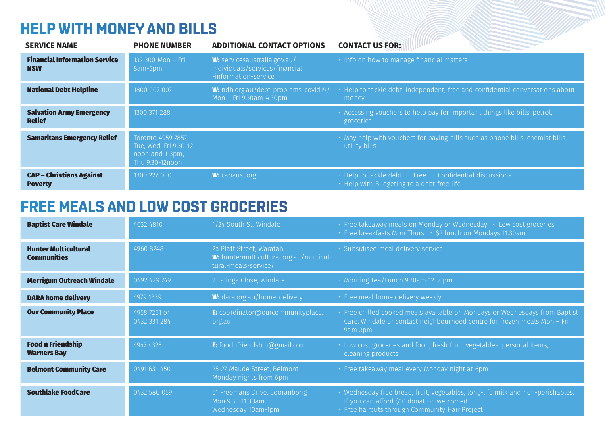#### **HELP WITH MONEY AND BILLS**

| <b>SERVICE NAME</b>                                | <b>PHONE NUMBER</b>                                                              | <b>ADDITIONAL CONTACT OPTIONS</b>                                                             | <b>CONTACT US FOR:</b>                                                                                                 |
|----------------------------------------------------|----------------------------------------------------------------------------------|-----------------------------------------------------------------------------------------------|------------------------------------------------------------------------------------------------------------------------|
| <b>Financial Information Service</b><br><b>NSW</b> | 132 300 Mon - Fri<br>8am-5pm                                                     | <b>W:</b> servicesaustralia.gov.au/<br>individuals/services/financial<br>-information-service | · Info on how to manage financial matters                                                                              |
| <b>National Debt Helpline</b>                      | 1800 007 007                                                                     | W: ndh.org.au/debt-problems-covid19/<br>Mon – Fri $9.30$ am-4.30pm                            | Help to tackle debt, independent, free and confidential conversations about<br>money                                   |
| <b>Salvation Army Emergency</b><br><b>Relief</b>   | 1300 371 288                                                                     |                                                                                               | · Accessing vouchers to help pay for important things like bills, petrol,<br>groceries                                 |
| <b>Samaritans Emergency Relief</b>                 | Toronto 4959 7857<br>Tue, Wed, Fri 9.30-12<br>noon and 1-3pm,<br>Thu 9.30-12noon |                                                                                               | $\cdot$ May help with vouchers for paying bills such as phone bills, chemist bills,<br>utility bills                   |
| <b>CAP - Christians Against</b><br><b>Poverty</b>  | 1300 227 000                                                                     | <b>W:</b> capaust.org                                                                         | $\cdot$ Help to tackle debt $\cdot$ Free $\cdot$ Confidential discussions<br>• Help with Budgeting to a debt-free life |

#### **FREE MEALS AND LOW COST GROCERIES**

| <b>Baptist Care Windale</b>                       | 4032 4810                    | 1/24 South St, Windale                                                                      | $\cdot$ Free takeaway meals on Monday or Wednesday $\cdot$ Low cost groceries<br>· Free breakfasts Mon-Thurs · \$2 lunch on Mondays 11.30am                                  |
|---------------------------------------------------|------------------------------|---------------------------------------------------------------------------------------------|------------------------------------------------------------------------------------------------------------------------------------------------------------------------------|
| <b>Hunter Multicultural</b><br><b>Communities</b> | 4960 8248                    | 2a Platt Street, Waratah<br>W: huntermulticultural.org.au/multicul-<br>tural-meals-service/ | · Subsidised meal delivery service                                                                                                                                           |
| <b>Merrigum Outreach Windale</b>                  | 0492 429 749                 | 2 Talinga Close, Windale                                                                    | · Morning Tea/Lunch 9.30am-12.30pm                                                                                                                                           |
| <b>DARA home delivery</b>                         | 4979 1339                    | W: dara.org.au/home-delivery                                                                | · Free meal home delivery weekly                                                                                                                                             |
| <b>Our Community Place</b>                        | 4958 7251 or<br>0432 331 284 | E: coordinator@ourcommunityplace.<br>org.au                                                 | · Free chilled cooked meals available on Mondays or Wednesdays from Baptist<br>Care, Windale or contact neighbourhood centre for frozen meals Mon - Fri<br>9am-3pm           |
| <b>Food n Friendship</b><br><b>Warners Bay</b>    | 4947 4325                    | <b>E:</b> foodnfriendship@gmail.com                                                         | · Low cost groceries and food, fresh fruit, vegetables, personal items,<br>cleaning products                                                                                 |
| <b>Belmont Community Care</b>                     | 0491 631 450                 | 25-27 Maude Street, Belmont<br>Monday nights from 6pm                                       | · Free takeaway meal every Monday night at 6pm                                                                                                                               |
| <b>Southlake FoodCare</b>                         | 0432 580 059                 | 61 Freemans Drive, Cooranbong<br>Mon 9.30-11.30am<br>Wednesday 10am-1pm                     | · Wednesday free bread, fruit, vegetables, long-life milk and non-perishables.<br>If you can afford \$10 donation welcomed<br>· Free haircuts through Community Hair Project |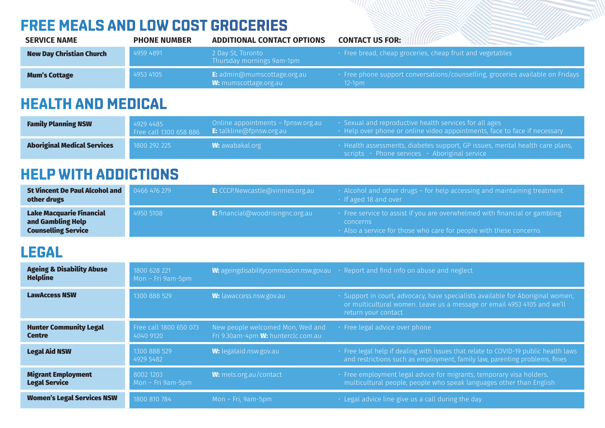#### **FREE MEALS AND LOW COST GROCERIES**

| <b>SERVICE NAME</b>             | <b>PHONE NUMBER</b> | <b>ADDITIONAL CONTACT OPTIONS</b>                                          | <b>CONTACT US FOR:</b>                                                                        |
|---------------------------------|---------------------|----------------------------------------------------------------------------|-----------------------------------------------------------------------------------------------|
| <b>New Day Christian Church</b> | 4959 4891           | 2 Day St. Toronto<br>Thursday mornings 9am-1pm                             | • Free bread, cheap groceries, cheap fruit and vegetables                                     |
| <b>Mum's Cottage</b>            | 4953 4105           | <b>E:</b> $\alpha$ dmin@mumscottage.org.au<br><b>W:</b> mumscottage.org.au | . Free phone support conversations/counselling, groceries available on Fridays<br>$12 - 1$ pm |

## **HEALTH AND MEDICAL**

| <b>Family Planning NSW</b>         | 4929 4485    | Online appointments – fpnsw.org.au<br>Free call 1300 658 886 E: talkline@fpnsw.org.au | $\cdot$ Sexual and reproductive health services for all ages<br>$\cdot$ Help over phone or online video appointments, face to face if necessary |
|------------------------------------|--------------|---------------------------------------------------------------------------------------|-------------------------------------------------------------------------------------------------------------------------------------------------|
| <b>Aboriginal Medical Services</b> | 1800 292 225 | $\blacksquare$ W: awabakal.org $\blacksquare$                                         | · Health assessments, diabetes support, GP issues, mental health care plans,<br>scripts · Phone services · Aboriginal service                   |

#### **HELP WITH ADDICTIONS**

| St Vincent De Paul Alcohol and<br>other drugs                                      | $0466$ 476 279 | <b>E:</b> CCCP.Newcastle@vinnies.org.au | $\cdot$ Alcohol and other drugs – for help accessing and maintaining treatment<br>$\cdot$ If aged 18 and over                                                                                   |
|------------------------------------------------------------------------------------|----------------|-----------------------------------------|-------------------------------------------------------------------------------------------------------------------------------------------------------------------------------------------------|
| <b>Lake Macquarie Financial</b><br>and Gambling Help<br><b>Counselling Service</b> | 4950 5108      | <b>E:</b> financial@woodrisingnc.org.au | $\cdot\,$ Free service to assist if you are overwhelmed with financial or gambling $^{\dagger}$<br><b>CONCERTIS</b><br>$\cdot$ Also a service for those who care for people with these concerns |

#### **LEGAL**

| <b>Ageing &amp; Disability Abuse</b><br><b>Helpline</b> | 1800 628 221<br>Mon $-$ Fri 9am-5pm |                                                                               | <b>W:</b> ageing disability commission.nsw.gov.au $\cdot$ Report and find info on abuse and neglect                                                                              |
|---------------------------------------------------------|-------------------------------------|-------------------------------------------------------------------------------|----------------------------------------------------------------------------------------------------------------------------------------------------------------------------------|
| <b>LawAccess NSW</b>                                    | 1300 888 529                        | W: lawaccess.nsw.gov.au                                                       | · Support in court, advocacy, have specialists available for Aboriginal women,<br>or multicultural women. Leave us a message or email 4953 4105 and we'll<br>return your contact |
| <b>Hunter Community Legal</b><br><b>Centre</b>          | Free call 1800 650 073<br>4040 9120 | New people welcomed Mon, Wed and<br>Fri 9.30am-4pm <b>W:</b> hunterclc.com.au | · Free legal advice over phone                                                                                                                                                   |
| <b>Legal Aid NSW</b>                                    | 1300 888 529<br>4929 5482           | <b>W:</b> legalaid.nsw.gov.au                                                 | · Free legal help if dealing with issues that relate to COVID-19 public health laws<br>and restrictions such as employment, family law, parenting problems, fines                |
| <b>Migrant Employment</b><br><b>Legal Service</b>       | 8002 1203<br>Mon $-$ Fri 9am-5pm    | W: mels.org.au/contact                                                        | · Free employment legal advice for migrants, temporary visa holders,<br>multicultural people, people who speak languages other than English                                      |
| <b>Women's Legal Services NSW</b>                       | 1800 810 784                        | $Mon$ – Fri, 9am-5pm                                                          | $\cdot$ Legal advice line give us a call during the day                                                                                                                          |